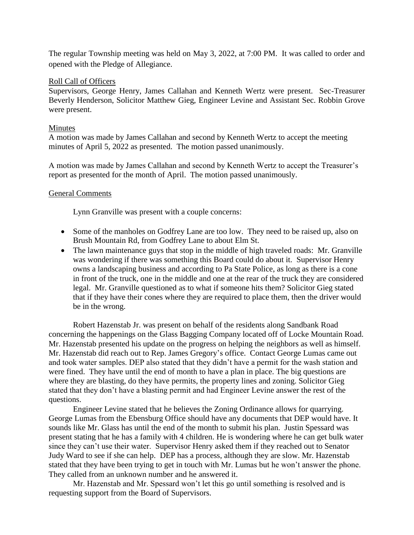The regular Township meeting was held on May 3, 2022, at 7:00 PM. It was called to order and opened with the Pledge of Allegiance.

## Roll Call of Officers

Supervisors, George Henry, James Callahan and Kenneth Wertz were present. Sec-Treasurer Beverly Henderson, Solicitor Matthew Gieg, Engineer Levine and Assistant Sec. Robbin Grove were present.

## Minutes

A motion was made by James Callahan and second by Kenneth Wertz to accept the meeting minutes of April 5, 2022 as presented. The motion passed unanimously.

A motion was made by James Callahan and second by Kenneth Wertz to accept the Treasurer's report as presented for the month of April. The motion passed unanimously.

## General Comments

Lynn Granville was present with a couple concerns:

- Some of the manholes on Godfrey Lane are too low. They need to be raised up, also on Brush Mountain Rd, from Godfrey Lane to about Elm St.
- The lawn maintenance guys that stop in the middle of high traveled roads: Mr. Granville was wondering if there was something this Board could do about it. Supervisor Henry owns a landscaping business and according to Pa State Police, as long as there is a cone in front of the truck, one in the middle and one at the rear of the truck they are considered legal. Mr. Granville questioned as to what if someone hits them? Solicitor Gieg stated that if they have their cones where they are required to place them, then the driver would be in the wrong.

Robert Hazenstab Jr. was present on behalf of the residents along Sandbank Road concerning the happenings on the Glass Bagging Company located off of Locke Mountain Road. Mr. Hazenstab presented his update on the progress on helping the neighbors as well as himself. Mr. Hazenstab did reach out to Rep. James Gregory's office. Contact George Lumas came out and took water samples. DEP also stated that they didn't have a permit for the wash station and were fined. They have until the end of month to have a plan in place. The big questions are where they are blasting, do they have permits, the property lines and zoning. Solicitor Gieg stated that they don't have a blasting permit and had Engineer Levine answer the rest of the questions.

Engineer Levine stated that he believes the Zoning Ordinance allows for quarrying. George Lumas from the Ebensburg Office should have any documents that DEP would have. It sounds like Mr. Glass has until the end of the month to submit his plan. Justin Spessard was present stating that he has a family with 4 children. He is wondering where he can get bulk water since they can't use their water. Supervisor Henry asked them if they reached out to Senator Judy Ward to see if she can help. DEP has a process, although they are slow. Mr. Hazenstab stated that they have been trying to get in touch with Mr. Lumas but he won't answer the phone. They called from an unknown number and he answered it.

Mr. Hazenstab and Mr. Spessard won't let this go until something is resolved and is requesting support from the Board of Supervisors.